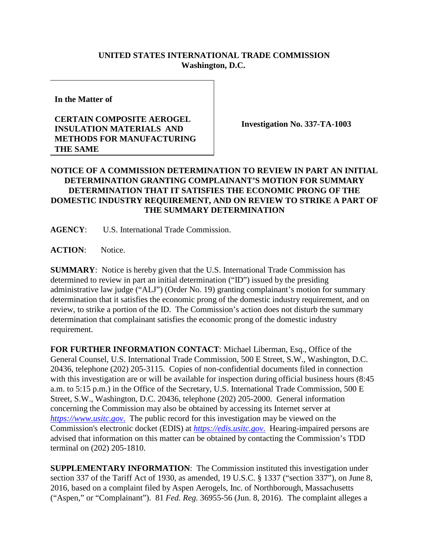## **UNITED STATES INTERNATIONAL TRADE COMMISSION Washington, D.C.**

**In the Matter of**

## **CERTAIN COMPOSITE AEROGEL INSULATION MATERIALS AND METHODS FOR MANUFACTURING THE SAME**

**Investigation No. 337-TA-1003**

## **NOTICE OF A COMMISSION DETERMINATION TO REVIEW IN PART AN INITIAL DETERMINATION GRANTING COMPLAINANT'S MOTION FOR SUMMARY DETERMINATION THAT IT SATISFIES THE ECONOMIC PRONG OF THE DOMESTIC INDUSTRY REQUIREMENT, AND ON REVIEW TO STRIKE A PART OF THE SUMMARY DETERMINATION**

**AGENCY**: U.S. International Trade Commission.

**ACTION**: Notice.

**SUMMARY**: Notice is hereby given that the U.S. International Trade Commission has determined to review in part an initial determination ("ID") issued by the presiding administrative law judge ("ALJ") (Order No. 19) granting complainant's motion for summary determination that it satisfies the economic prong of the domestic industry requirement, and on review, to strike a portion of the ID. The Commission's action does not disturb the summary determination that complainant satisfies the economic prong of the domestic industry requirement.

**FOR FURTHER INFORMATION CONTACT**: Michael Liberman, Esq., Office of the General Counsel, U.S. International Trade Commission, 500 E Street, S.W., Washington, D.C. 20436, telephone (202) 205-3115. Copies of non-confidential documents filed in connection with this investigation are or will be available for inspection during official business hours (8:45 a.m. to 5:15 p.m.) in the Office of the Secretary, U.S. International Trade Commission, 500 E Street, S.W., Washington, D.C. 20436, telephone (202) 205-2000. General information concerning the Commission may also be obtained by accessing its Internet server at *[https://www.usitc.gov](https://www.usitc.gov./)*. The public record for this investigation may be viewed on the Commission's electronic docket (EDIS) at *[https://edis.usitc.gov](https://edis.usitc.gov./)*. Hearing-impaired persons are advised that information on this matter can be obtained by contacting the Commission's TDD terminal on (202) 205-1810.

**SUPPLEMENTARY INFORMATION**: The Commission instituted this investigation under section 337 of the Tariff Act of 1930, as amended, 19 U.S.C. § 1337 ("section 337"), on June 8, 2016, based on a complaint filed by Aspen Aerogels, Inc. of Northborough, Massachusetts ("Aspen," or "Complainant"). 81 *Fed. Reg.* 36955-56 (Jun. 8, 2016). The complaint alleges a